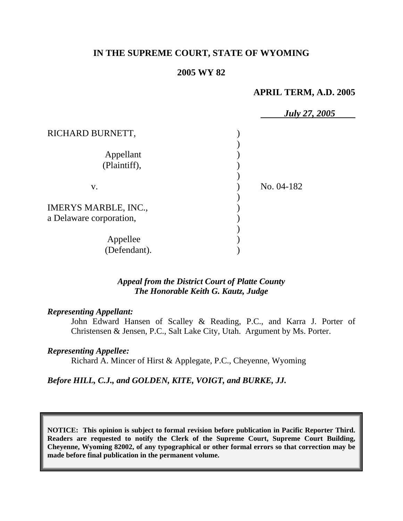# **IN THE SUPREME COURT, STATE OF WYOMING**

## **2005 WY 82**

# **APRIL TERM, A.D. 2005**

|                             | <b>July 27, 2005</b> |
|-----------------------------|----------------------|
| RICHARD BURNETT,            |                      |
|                             |                      |
| Appellant                   |                      |
| (Plaintiff),                |                      |
|                             |                      |
| V.                          | No. 04-182           |
|                             |                      |
| <b>IMERYS MARBLE, INC.,</b> |                      |
| a Delaware corporation,     |                      |
|                             |                      |
| Appellee                    |                      |
| (Defendant).                |                      |

## *Appeal from the District Court of Platte County The Honorable Keith G. Kautz, Judge*

### *Representing Appellant:*

John Edward Hansen of Scalley & Reading, P.C., and Karra J. Porter of Christensen & Jensen, P.C., Salt Lake City, Utah. Argument by Ms. Porter.

### *Representing Appellee:*

Richard A. Mincer of Hirst & Applegate, P.C., Cheyenne, Wyoming

*Before HILL, C.J., and GOLDEN, KITE, VOIGT, and BURKE, JJ.* 

**NOTICE: This opinion is subject to formal revision before publication in Pacific Reporter Third. Readers are requested to notify the Clerk of the Supreme Court, Supreme Court Building, Cheyenne, Wyoming 82002, of any typographical or other formal errors so that correction may be made before final publication in the permanent volume.**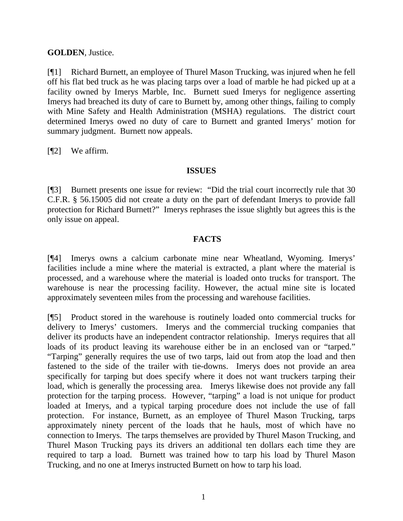# **GOLDEN**, Justice.

[¶1] Richard Burnett, an employee of Thurel Mason Trucking, was injured when he fell off his flat bed truck as he was placing tarps over a load of marble he had picked up at a facility owned by Imerys Marble, Inc. Burnett sued Imerys for negligence asserting Imerys had breached its duty of care to Burnett by, among other things, failing to comply with Mine Safety and Health Administration (MSHA) regulations. The district court determined Imerys owed no duty of care to Burnett and granted Imerys' motion for summary judgment. Burnett now appeals.

[**[**[2] We affirm.

## **ISSUES**

[¶3] Burnett presents one issue for review: "Did the trial court incorrectly rule that 30 C.F.R. § 56.15005 did not create a duty on the part of defendant Imerys to provide fall protection for Richard Burnett?" Imerys rephrases the issue slightly but agrees this is the only issue on appeal.

# **FACTS**

[¶4] Imerys owns a calcium carbonate mine near Wheatland, Wyoming. Imerys' facilities include a mine where the material is extracted, a plant where the material is processed, and a warehouse where the material is loaded onto trucks for transport. The warehouse is near the processing facility. However, the actual mine site is located approximately seventeen miles from the processing and warehouse facilities.

[¶5] Product stored in the warehouse is routinely loaded onto commercial trucks for delivery to Imerys' customers. Imerys and the commercial trucking companies that deliver its products have an independent contractor relationship. Imerys requires that all loads of its product leaving its warehouse either be in an enclosed van or "tarped." "Tarping" generally requires the use of two tarps, laid out from atop the load and then fastened to the side of the trailer with tie-downs. Imerys does not provide an area specifically for tarping but does specify where it does not want truckers tarping their load, which is generally the processing area. Imerys likewise does not provide any fall protection for the tarping process. However, "tarping" a load is not unique for product loaded at Imerys, and a typical tarping procedure does not include the use of fall protection. For instance, Burnett, as an employee of Thurel Mason Trucking, tarps approximately ninety percent of the loads that he hauls, most of which have no connection to Imerys. The tarps themselves are provided by Thurel Mason Trucking, and Thurel Mason Trucking pays its drivers an additional ten dollars each time they are required to tarp a load. Burnett was trained how to tarp his load by Thurel Mason Trucking, and no one at Imerys instructed Burnett on how to tarp his load.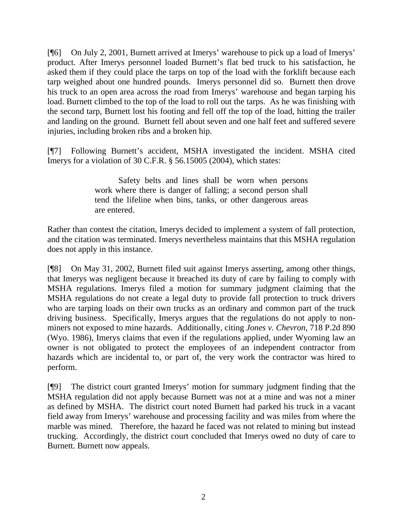[¶6] On July 2, 2001, Burnett arrived at Imerys' warehouse to pick up a load of Imerys' product. After Imerys personnel loaded Burnett's flat bed truck to his satisfaction, he asked them if they could place the tarps on top of the load with the forklift because each tarp weighed about one hundred pounds. Imerys personnel did so. Burnett then drove his truck to an open area across the road from Imerys' warehouse and began tarping his load. Burnett climbed to the top of the load to roll out the tarps. As he was finishing with the second tarp, Burnett lost his footing and fell off the top of the load, hitting the trailer and landing on the ground. Burnett fell about seven and one half feet and suffered severe injuries, including broken ribs and a broken hip.

[¶7] Following Burnett's accident, MSHA investigated the incident. MSHA cited Imerys for a violation of 30 C.F.R. § 56.15005 (2004), which states:

> Safety belts and lines shall be worn when persons work where there is danger of falling; a second person shall tend the lifeline when bins, tanks, or other dangerous areas are entered.

Rather than contest the citation, Imerys decided to implement a system of fall protection, and the citation was terminated. Imerys nevertheless maintains that this MSHA regulation does not apply in this instance.

[¶8] On May 31, 2002, Burnett filed suit against Imerys asserting, among other things, that Imerys was negligent because it breached its duty of care by failing to comply with MSHA regulations. Imerys filed a motion for summary judgment claiming that the MSHA regulations do not create a legal duty to provide fall protection to truck drivers who are tarping loads on their own trucks as an ordinary and common part of the truck driving business. Specifically, Imerys argues that the regulations do not apply to nonminers not exposed to mine hazards. Additionally, citing *Jones v. Chevron*, 718 P.2d 890 (Wyo. 1986), Imerys claims that even if the regulations applied, under Wyoming law an owner is not obligated to protect the employees of an independent contractor from hazards which are incidental to, or part of, the very work the contractor was hired to perform.

[¶9] The district court granted Imerys' motion for summary judgment finding that the MSHA regulation did not apply because Burnett was not at a mine and was not a miner as defined by MSHA. The district court noted Burnett had parked his truck in a vacant field away from Imerys' warehouse and processing facility and was miles from where the marble was mined. Therefore, the hazard he faced was not related to mining but instead trucking. Accordingly, the district court concluded that Imerys owed no duty of care to Burnett. Burnett now appeals.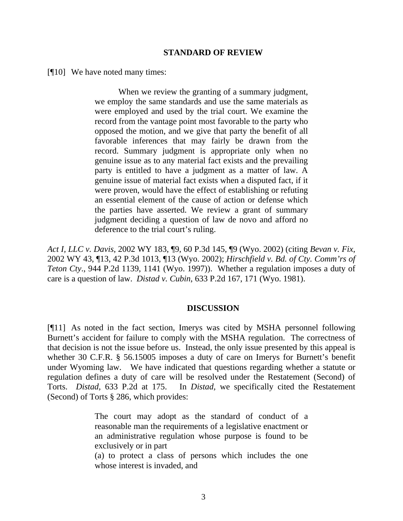### **STANDARD OF REVIEW**

[¶10] We have noted many times:

When we review the granting of a summary judgment, we employ the same standards and use the same materials as were employed and used by the trial court. We examine the record from the vantage point most favorable to the party who opposed the motion, and we give that party the benefit of all favorable inferences that may fairly be drawn from the record. Summary judgment is appropriate only when no genuine issue as to any material fact exists and the prevailing party is entitled to have a judgment as a matter of law. A genuine issue of material fact exists when a disputed fact, if it were proven, would have the effect of establishing or refuting an essential element of the cause of action or defense which the parties have asserted. We review a grant of summary judgment deciding a question of law de novo and afford no deference to the trial court's ruling.

*Act I, LLC v. Davis*, 2002 WY 183, ¶9, 60 P.3d 145, ¶9 (Wyo. 2002) (citing *Bevan v. Fix*, 2002 WY 43, ¶13, 42 P.3d 1013, ¶13 (Wyo. 2002); *Hirschfield v. Bd. of Cty. Comm'rs of Teton Cty*., 944 P.2d 1139, 1141 (Wyo. 1997)). Whether a regulation imposes a duty of care is a question of law. *Distad v. Cubin*, 633 P.2d 167, 171 (Wyo. 1981).

### **DISCUSSION**

[¶11] As noted in the fact section, Imerys was cited by MSHA personnel following Burnett's accident for failure to comply with the MSHA regulation. The correctness of that decision is not the issue before us. Instead, the only issue presented by this appeal is whether 30 C.F.R. § 56.15005 imposes a duty of care on Imerys for Burnett's benefit under Wyoming law. We have indicated that questions regarding whether a statute or regulation defines a duty of care will be resolved under the Restatement (Second) of Torts. *Distad,* 633 P.2d at 175. In *Distad,* we specifically cited the Restatement (Second) of Torts § 286, which provides:

> The court may adopt as the standard of conduct of a reasonable man the requirements of a legislative enactment or an administrative regulation whose purpose is found to be exclusively or in part

> (a) to protect a class of persons which includes the one whose interest is invaded, and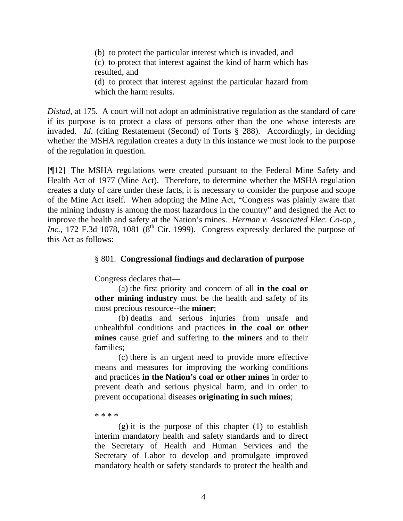(b) to protect the particular interest which is invaded, and (c) to protect that interest against the kind of harm which has resulted, and (d) to protect that interest against the particular hazard from which the harm results.

*Distad,* at 175*.* A court will not adopt an administrative regulation as the standard of care if its purpose is to protect a class of persons other than the one whose interests are invaded. *Id*. (citing Restatement (Second) of Torts § 288). Accordingly, in deciding whether the MSHA regulation creates a duty in this instance we must look to the purpose of the regulation in question.

[¶12] The MSHA regulations were created pursuant to the Federal Mine Safety and Health Act of 1977 (Mine Act). Therefore, to determine whether the MSHA regulation creates a duty of care under these facts, it is necessary to consider the purpose and scope of the Mine Act itself. When adopting the Mine Act, "Congress was plainly aware that the mining industry is among the most hazardous in the country" and designed the Act to improve the health and safety at the Nation's mines. *Herman v. Associated Elec. Co-op., Inc.*, 172 F.3d 1078, 1081 ( $8<sup>th</sup>$  Cir. 1999). Congress expressly declared the purpose of this Act as follows:

## § 801. **Congressional findings and declaration of purpose**

Congress declares that—

(a) the first priority and concern of all **in the coal or other mining industry** must be the health and safety of its most precious resource--the **miner**;

(b) deaths and serious injuries from unsafe and unhealthful conditions and practices **in the coal or other mines** cause grief and suffering to **the miners** and to their families;

(c) there is an urgent need to provide more effective means and measures for improving the working conditions and practices **in the Nation's coal or other mines** in order to prevent death and serious physical harm, and in order to prevent occupational diseases **originating in such mines**;

\* \* \* \*

 $(g)$  it is the purpose of this chapter  $(1)$  to establish interim mandatory health and safety standards and to direct the Secretary of Health and Human Services and the Secretary of Labor to develop and promulgate improved mandatory health or safety standards to protect the health and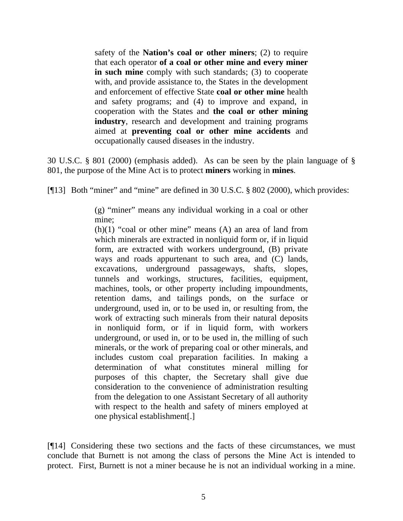safety of the **Nation's coal or other miners**; (2) to require that each operator **of a coal or other mine and every miner in such mine** comply with such standards; (3) to cooperate with, and provide assistance to, the States in the development and enforcement of effective State **coal or other mine** health and safety programs; and (4) to improve and expand, in cooperation with the States and **the coal or other mining industry**, research and development and training programs aimed at **preventing coal or other mine accidents** and occupationally caused diseases in the industry.

30 U.S.C. § 801 (2000) (emphasis added). As can be seen by the plain language of § 801, the purpose of the Mine Act is to protect **miners** working in **mines**.

[¶13] Both "miner" and "mine" are defined in 30 U.S.C. § 802 (2000), which provides:

(g) "miner" means any individual working in a coal or other mine;

 $(h)(1)$  "coal or other mine" means  $(A)$  an area of land from which minerals are extracted in nonliquid form or, if in liquid form, are extracted with workers underground, (B) private ways and roads appurtenant to such area, and (C) lands, excavations, underground passageways, shafts, slopes, tunnels and workings, structures, facilities, equipment, machines, tools, or other property including impoundments, retention dams, and tailings ponds, on the surface or underground, used in, or to be used in, or resulting from, the work of extracting such minerals from their natural deposits in nonliquid form, or if in liquid form, with workers underground, or used in, or to be used in, the milling of such minerals, or the work of preparing coal or other minerals, and includes custom coal preparation facilities. In making a determination of what constitutes mineral milling for purposes of this chapter, the Secretary shall give due consideration to the convenience of administration resulting from the delegation to one Assistant Secretary of all authority with respect to the health and safety of miners employed at one physical establishment[.]

[¶14] Considering these two sections and the facts of these circumstances, we must conclude that Burnett is not among the class of persons the Mine Act is intended to protect. First, Burnett is not a miner because he is not an individual working in a mine.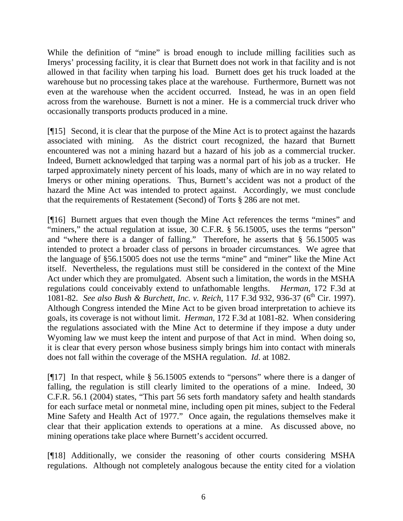While the definition of "mine" is broad enough to include milling facilities such as Imerys' processing facility, it is clear that Burnett does not work in that facility and is not allowed in that facility when tarping his load. Burnett does get his truck loaded at the warehouse but no processing takes place at the warehouse. Furthermore, Burnett was not even at the warehouse when the accident occurred. Instead, he was in an open field across from the warehouse. Burnett is not a miner. He is a commercial truck driver who occasionally transports products produced in a mine.

[¶15] Second, it is clear that the purpose of the Mine Act is to protect against the hazards associated with mining. As the district court recognized, the hazard that Burnett encountered was not a mining hazard but a hazard of his job as a commercial trucker. Indeed, Burnett acknowledged that tarping was a normal part of his job as a trucker. He tarped approximately ninety percent of his loads, many of which are in no way related to Imerys or other mining operations. Thus, Burnett's accident was not a product of the hazard the Mine Act was intended to protect against. Accordingly, we must conclude that the requirements of Restatement (Second) of Torts § 286 are not met.

[¶16] Burnett argues that even though the Mine Act references the terms "mines" and "miners," the actual regulation at issue, 30 C.F.R. § 56.15005, uses the terms "person" and "where there is a danger of falling." Therefore, he asserts that § 56.15005 was intended to protect a broader class of persons in broader circumstances. We agree that the language of §56.15005 does not use the terms "mine" and "miner" like the Mine Act itself. Nevertheless, the regulations must still be considered in the context of the Mine Act under which they are promulgated. Absent such a limitation, the words in the MSHA regulations could conceivably extend to unfathomable lengths. *Herman,* 172 F.3d at 1081-82. *See also Bush & Burchett, Inc. v. Reich*, 117 F.3d 932, 936-37 (6th Cir. 1997). Although Congress intended the Mine Act to be given broad interpretation to achieve its goals, its coverage is not without limit. *Herman,* 172 F.3d at 1081-82. When considering the regulations associated with the Mine Act to determine if they impose a duty under Wyoming law we must keep the intent and purpose of that Act in mind. When doing so, it is clear that every person whose business simply brings him into contact with minerals does not fall within the coverage of the MSHA regulation. *Id*. at 1082.

[¶17] In that respect, while § 56.15005 extends to "persons" where there is a danger of falling, the regulation is still clearly limited to the operations of a mine. Indeed, 30 C.F.R. 56.1 (2004) states, "This part 56 sets forth mandatory safety and health standards for each surface metal or nonmetal mine, including open pit mines, subject to the Federal Mine Safety and Health Act of 1977." Once again, the regulations themselves make it clear that their application extends to operations at a mine. As discussed above, no mining operations take place where Burnett's accident occurred.

[¶18] Additionally, we consider the reasoning of other courts considering MSHA regulations. Although not completely analogous because the entity cited for a violation